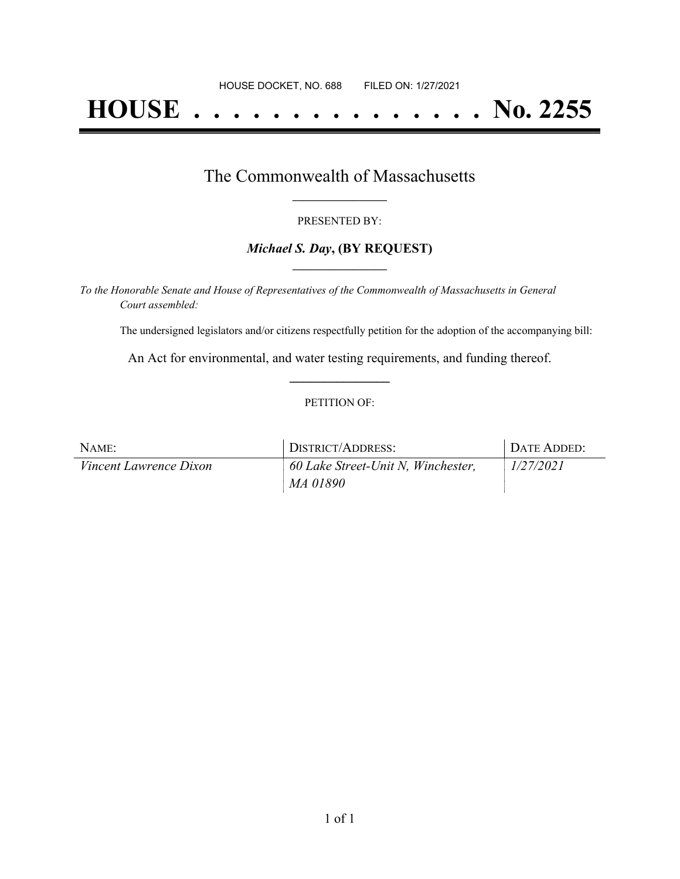# **HOUSE . . . . . . . . . . . . . . . No. 2255**

## The Commonwealth of Massachusetts **\_\_\_\_\_\_\_\_\_\_\_\_\_\_\_\_\_**

#### PRESENTED BY:

#### *Michael S. Day***, (BY REQUEST) \_\_\_\_\_\_\_\_\_\_\_\_\_\_\_\_\_**

*To the Honorable Senate and House of Representatives of the Commonwealth of Massachusetts in General Court assembled:*

The undersigned legislators and/or citizens respectfully petition for the adoption of the accompanying bill:

An Act for environmental, and water testing requirements, and funding thereof. **\_\_\_\_\_\_\_\_\_\_\_\_\_\_\_**

#### PETITION OF:

| NAME:                         | DISTRICT/ADDRESS:                  | DATE ADDED: |
|-------------------------------|------------------------------------|-------------|
| <i>Vincent Lawrence Dixon</i> | 60 Lake Street-Unit N, Winchester, | 1/27/2021   |
|                               | MA 01890                           |             |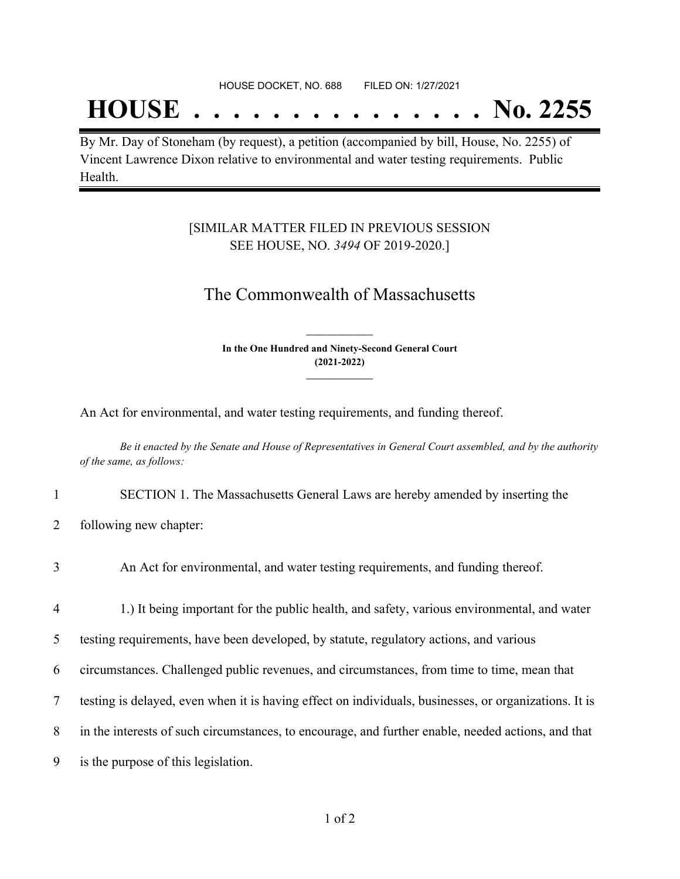## **HOUSE . . . . . . . . . . . . . . . No. 2255**

By Mr. Day of Stoneham (by request), a petition (accompanied by bill, House, No. 2255) of Vincent Lawrence Dixon relative to environmental and water testing requirements. Public Health.

### [SIMILAR MATTER FILED IN PREVIOUS SESSION SEE HOUSE, NO. *3494* OF 2019-2020.]

## The Commonwealth of Massachusetts

**In the One Hundred and Ninety-Second General Court (2021-2022) \_\_\_\_\_\_\_\_\_\_\_\_\_\_\_**

**\_\_\_\_\_\_\_\_\_\_\_\_\_\_\_**

An Act for environmental, and water testing requirements, and funding thereof.

Be it enacted by the Senate and House of Representatives in General Court assembled, and by the authority *of the same, as follows:*

- 1 SECTION 1. The Massachusetts General Laws are hereby amended by inserting the
- 2 following new chapter:

| 3              | An Act for environmental, and water testing requirements, and funding thereof.                        |
|----------------|-------------------------------------------------------------------------------------------------------|
| $\overline{4}$ | 1.) It being important for the public health, and safety, various environmental, and water            |
| 5              | testing requirements, have been developed, by statute, regulatory actions, and various                |
| 6              | circumstances. Challenged public revenues, and circumstances, from time to time, mean that            |
| 7              | testing is delayed, even when it is having effect on individuals, businesses, or organizations. It is |
| 8              | in the interests of such circumstances, to encourage, and further enable, needed actions, and that    |
| 9              | is the purpose of this legislation.                                                                   |